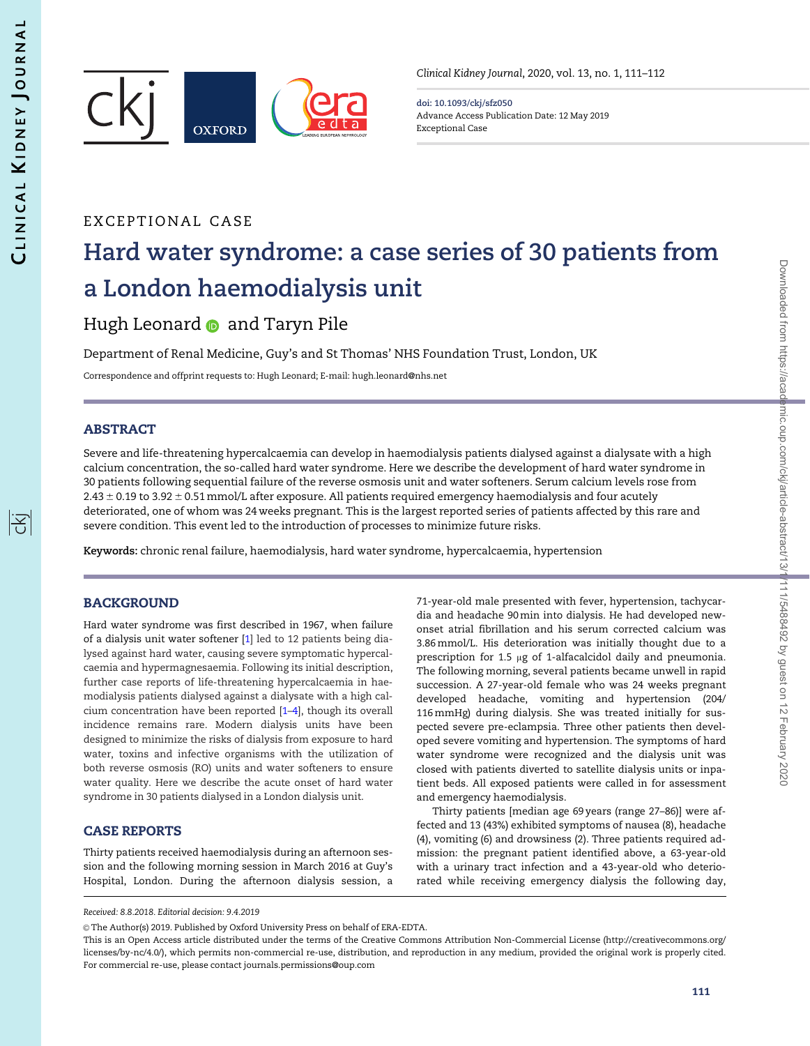阁

<span id="page-0-0"></span>

Clinical Kidney Journal, 2020, vol. 13, no. 1, 111–112

doi: 10.1093/ckj/sfz050 Advance Access Publication Date: 12 May 2019 Exceptional Case

## EXCEPTIONAL CASE

# Hard water syndrome: a case series of 30 patients from a London haemodialysis unit

Hugh Leonard **and Taryn Pile** 

Department of Renal Medicine, Guy's and St Thomas' NHS Foundation Trust, London, UK

Correspondence and offprint requests to: Hugh Leonard; E-mail: hugh.leonard@nhs.net

## ABSTRACT

Severe and life-threatening hypercalcaemia can develop in haemodialysis patients dialysed against a dialysate with a high calcium concentration, the so-called hard water syndrome. Here we describe the development of hard water syndrome in 30 patients following sequential failure of the reverse osmosis unit and water softeners. Serum calcium levels rose from  $2.43 \pm 0.19$  to 3.92  $\pm$  0.51 mmol/L after exposure. All patients required emergency haemodialysis and four acutely deteriorated, one of whom was 24 weeks pregnant. This is the largest reported series of patients affected by this rare and severe condition. This event led to the introduction of processes to minimize future risks.

Keywords: chronic renal failure, haemodialysis, hard water syndrome, hypercalcaemia, hypertension

#### BACKGROUND

Hard water syndrome was first described in 1967, when failure of a dialysis unit water softener [\[1](#page-1-0)] led to 12 patients being dialysed against hard water, causing severe symptomatic hypercalcaemia and hypermagnesaemia. Following its initial description, further case reports of life-threatening hypercalcaemia in haemodialysis patients dialysed against a dialysate with a high calcium concentration have been reported [\[1–4](#page-1-0)], though its overall incidence remains rare. Modern dialysis units have been designed to minimize the risks of dialysis from exposure to hard water, toxins and infective organisms with the utilization of both reverse osmosis (RO) units and water softeners to ensure water quality. Here we describe the acute onset of hard water syndrome in 30 patients dialysed in a London dialysis unit.

## CASE REPORTS

Thirty patients received haemodialysis during an afternoon session and the following morning session in March 2016 at Guy's Hospital, London. During the afternoon dialysis session, a

71-year-old male presented with fever, hypertension, tachycardia and headache 90min into dialysis. He had developed newonset atrial fibrillation and his serum corrected calcium was 3.86 mmol/L. His deterioration was initially thought due to a prescription for 1.5  $\mu$ g of 1-alfacalcidol daily and pneumonia. The following morning, several patients became unwell in rapid succession. A 27-year-old female who was 24 weeks pregnant developed headache, vomiting and hypertension (204/ 116mmHg) during dialysis. She was treated initially for suspected severe pre-eclampsia. Three other patients then developed severe vomiting and hypertension. The symptoms of hard water syndrome were recognized and the dialysis unit was closed with patients diverted to satellite dialysis units or inpatient beds. All exposed patients were called in for assessment and emergency haemodialysis.

Thirty patients [median age 69 years (range 27–86)] were affected and 13 (43%) exhibited symptoms of nausea (8), headache (4), vomiting (6) and drowsiness (2). Three patients required admission: the pregnant patient identified above, a 63-year-old with a urinary tract infection and a 43-year-old who deteriorated while receiving emergency dialysis the following day,

Received: 8.8.2018. Editorial decision: 9.4.2019

 $\odot$  The Author(s) 2019. Published by Oxford University Press on behalf of ERA-EDTA.

This is an Open Access article distributed under the terms of the Creative Commons Attribution Non-Commercial License (http://creativecommons.org/ licenses/by-nc/4.0/), which permits non-commercial re-use, distribution, and reproduction in any medium, provided the original work is properly cited. For commercial re-use, please contact journals.permissions@oup.com